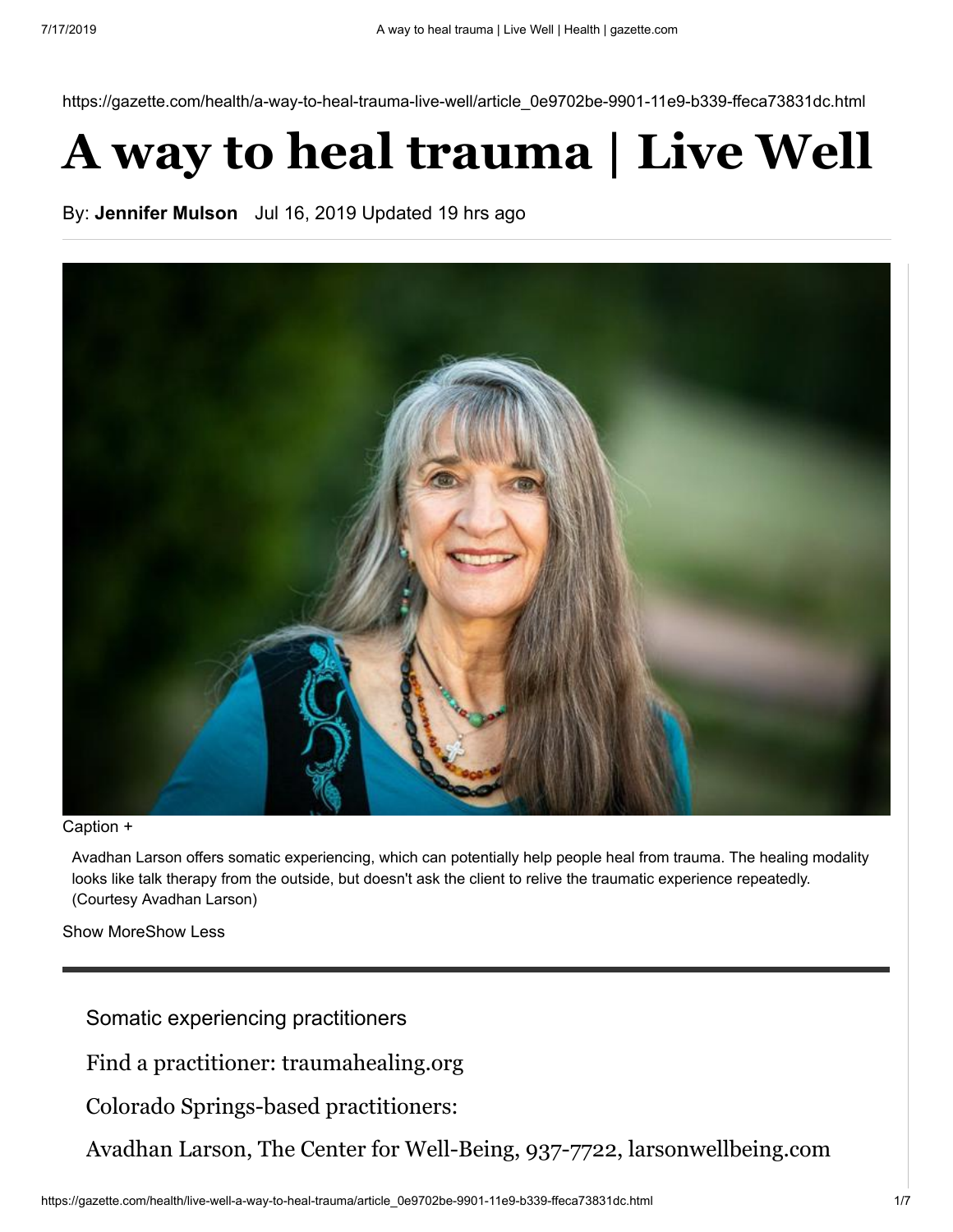https://gazette.com/health/a-way-to-heal-trauma-live-well/article\_0e9702be-9901-11e9-b339-ffeca73831dc.html

# **A way to heal trauma | Live Well**

By: **[Jennifer Mulson](https://gazette.com/users/profile/Jen%20Mulson)** Jul 16, 2019 Updated 19 hrs ago



#### Caption +

Avadhan Larson offers somatic experiencing, which can potentially help people heal from trauma. The healing modality looks like talk therapy from the outside, but doesn't ask the client to relive the traumatic experience repeatedly. (Courtesy Avadhan Larson)

Show MoreShow Less

Somatic experiencing practitioners

Find a practitioner: traumahealing.org

Colorado Springs-based practitioners:

Avadhan Larson, The Center for Well-Being, 937-7722, larsonwellbeing.com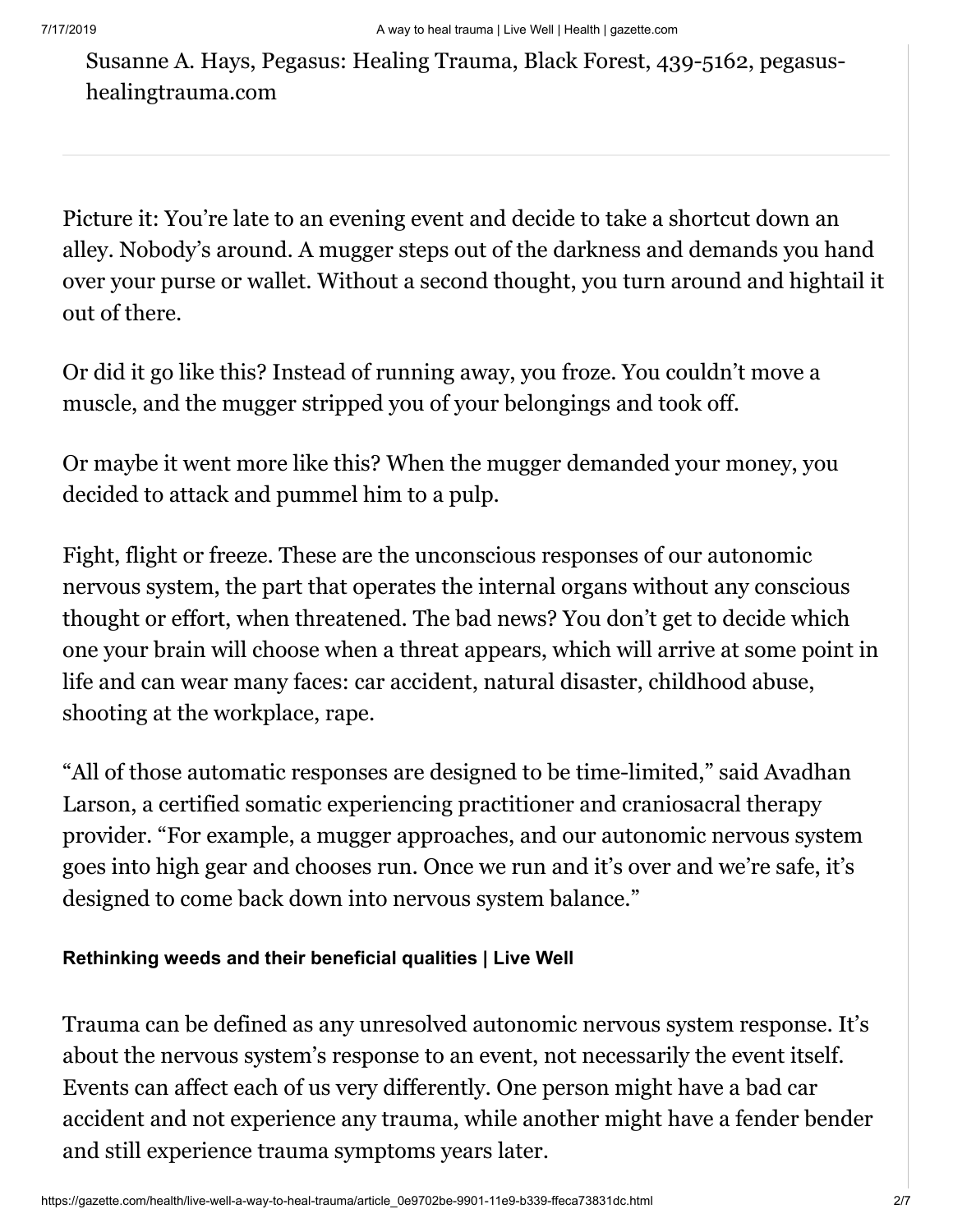Susanne A. Hays, Pegasus: Healing Trauma, Black Forest, 439-5162, pegasushealingtrauma.com

Picture it: You're late to an evening event and decide to take a shortcut down an alley. Nobody's around. A mugger steps out of the darkness and demands you hand over your purse or wallet. Without a second thought, you turn around and hightail it out of there.

Or did it go like this? Instead of running away, you froze. You couldn't move a muscle, and the mugger stripped you of your belongings and took off.

Or maybe it went more like this? When the mugger demanded your money, you decided to attack and pummel him to a pulp.

Fight, flight or freeze. These are the unconscious responses of our autonomic nervous system, the part that operates the internal organs without any conscious thought or effort, when threatened. The bad news? You don't get to decide which one your brain will choose when a threat appears, which will arrive at some point in life and can wear many faces: car accident, natural disaster, childhood abuse, shooting at the workplace, rape.

"All of those automatic responses are designed to be time-limited," said Avadhan Larson, a certified somatic experiencing practitioner and craniosacral therapy provider. "For example, a mugger approaches, and our autonomic nervous system goes into high gear and chooses run. Once we run and it's over and we're safe, it's designed to come back down into nervous system balance."

#### **[Rethinking weeds and their beneficial qualities | Live Well](https://gazette.com/life/rethinking-weeds-and-their-beneficial-qualities-live-well/article_8142b6c2-91e6-11e9-9f6b-17582c5b6290.html)**

Trauma can be defined as any unresolved autonomic nervous system response. It's about the nervous system's response to an event, not necessarily the event itself. Events can affect each of us very differently. One person might have a bad car accident and not experience any trauma, while another might have a fender bender and still experience trauma symptoms years later.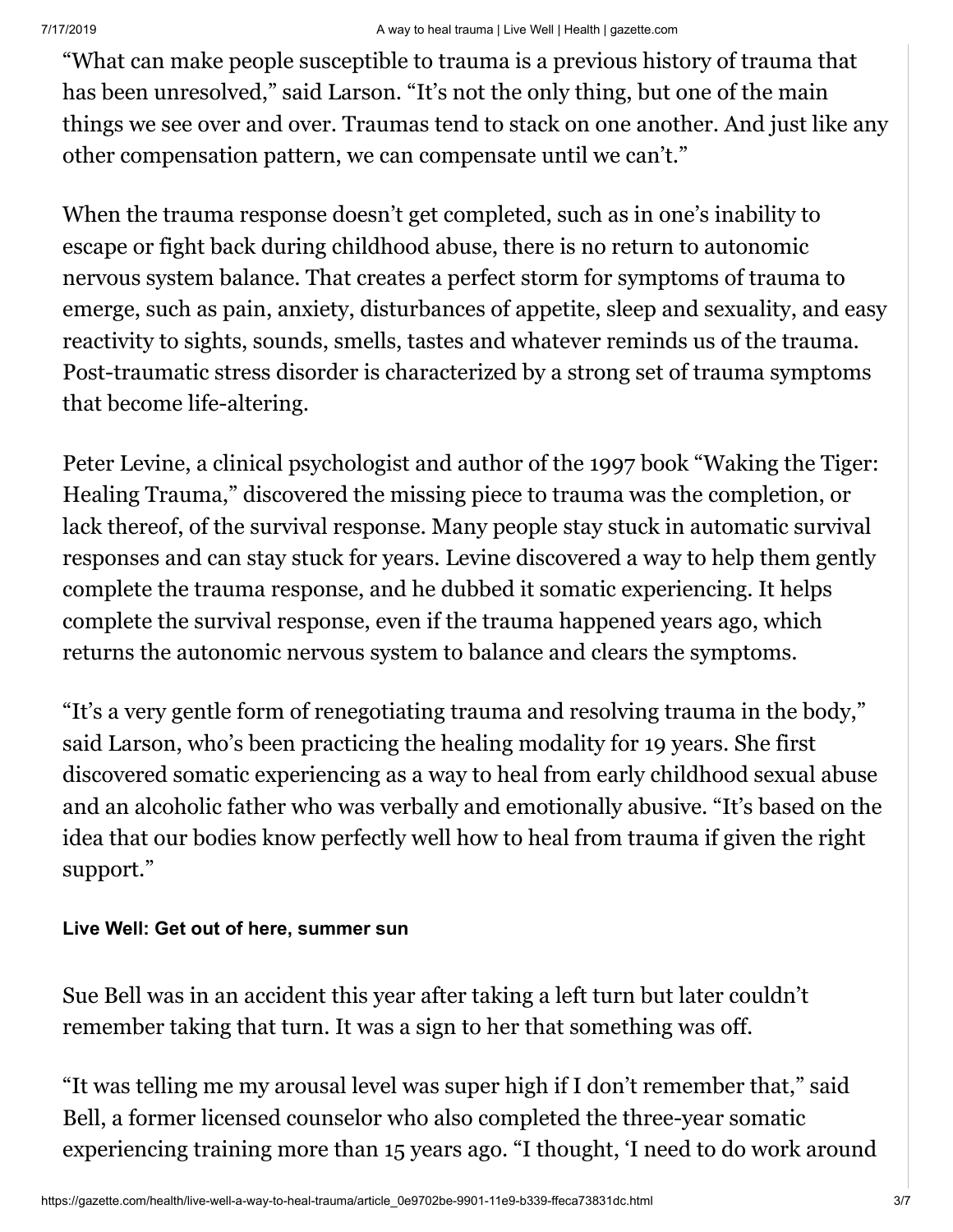"What can make people susceptible to trauma is a previous history of trauma that has been unresolved," said Larson. "It's not the only thing, but one of the main things we see over and over. Traumas tend to stack on one another. And just like any other compensation pattern, we can compensate until we can't."

When the trauma response doesn't get completed, such as in one's inability to escape or fight back during childhood abuse, there is no return to autonomic nervous system balance. That creates a perfect storm for symptoms of trauma to emerge, such as pain, anxiety, disturbances of appetite, sleep and sexuality, and easy reactivity to sights, sounds, smells, tastes and whatever reminds us of the trauma. Post-traumatic stress disorder is characterized by a strong set of trauma symptoms that become life-altering.

Peter Levine, a clinical psychologist and author of the 1997 book "Waking the Tiger: Healing Trauma," discovered the missing piece to trauma was the completion, or lack thereof, of the survival response. Many people stay stuck in automatic survival responses and can stay stuck for years. Levine discovered a way to help them gently complete the trauma response, and he dubbed it somatic experiencing. It helps complete the survival response, even if the trauma happened years ago, which returns the autonomic nervous system to balance and clears the symptoms.

"It's a very gentle form of renegotiating trauma and resolving trauma in the body," said Larson, who's been practicing the healing modality for 19 years. She first discovered somatic experiencing as a way to heal from early childhood sexual abuse and an alcoholic father who was verbally and emotionally abusive. "It's based on the idea that our bodies know perfectly well how to heal from trauma if given the right support."

### **[Live Well: Get out of here, summer sun](https://gazette.com/life/live-well-get-out-of-here-summer-sun/article_6113124e-7728-11e9-a07c-0f7c4a5a4618.html)**

Sue Bell was in an accident this year after taking a left turn but later couldn't remember taking that turn. It was a sign to her that something was off.

"It was telling me my arousal level was super high if I don't remember that," said Bell, a former licensed counselor who also completed the three-year somatic experiencing training more than 15 years ago. "I thought, 'I need to do work around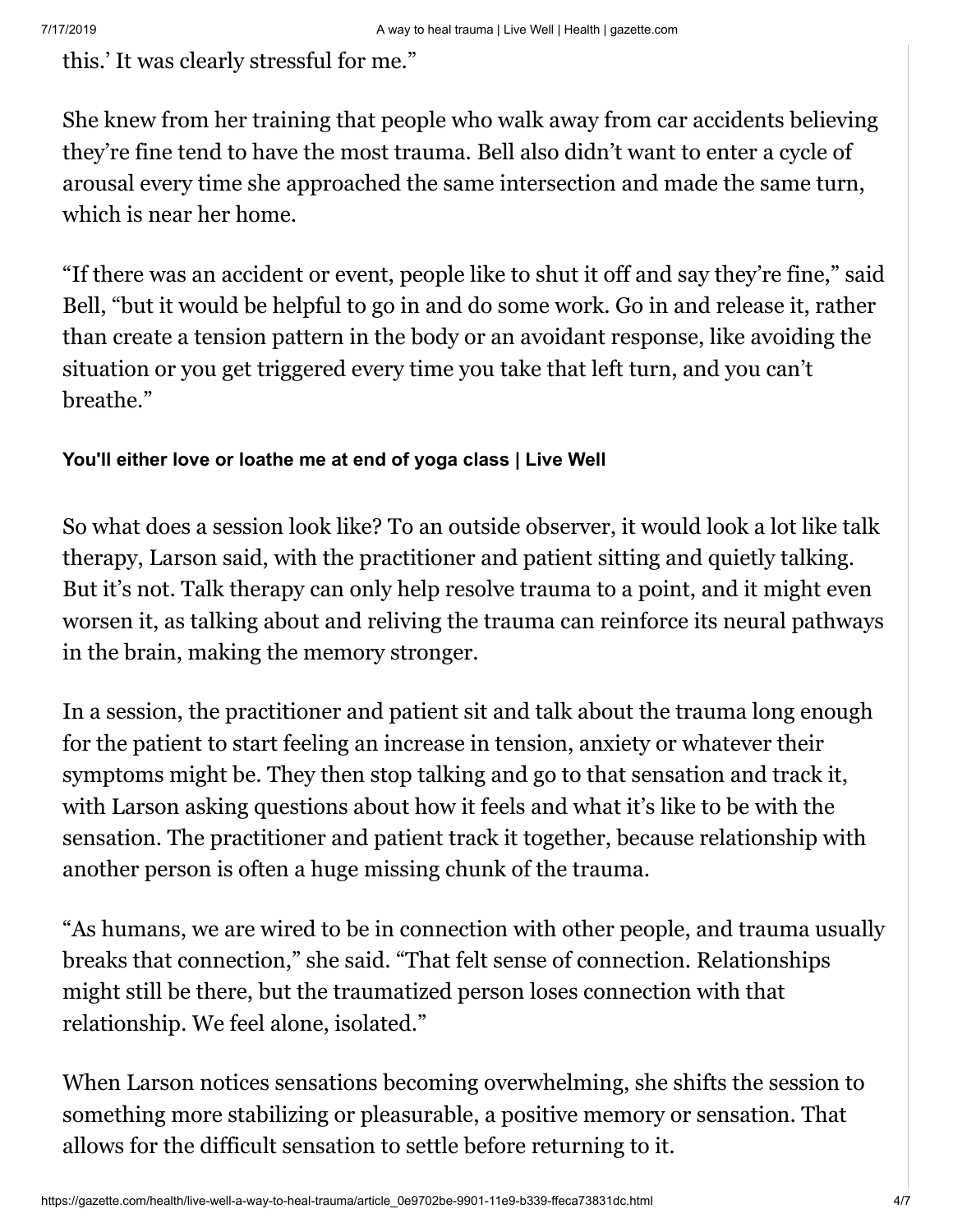this.' It was clearly stressful for me."

She knew from her training that people who walk away from car accidents believing they're fine tend to have the most trauma. Bell also didn't want to enter a cycle of arousal every time she approached the same intersection and made the same turn, which is near her home.

"If there was an accident or event, people like to shut it off and say they're fine," said Bell, "but it would be helpful to go in and do some work. Go in and release it, rather than create a tension pattern in the body or an avoidant response, like avoiding the situation or you get triggered every time you take that left turn, and you can't breathe."

#### **[You'll either love or loathe me at end of yoga class | Live Well](https://gazette.com/life/you-ll-either-love-or-loathe-me-at-end-of/article_e3bdcfe8-8c6f-11e9-a624-1f1834db1869.html)**

So what does a session look like? To an outside observer, it would look a lot like talk therapy, Larson said, with the practitioner and patient sitting and quietly talking. But it's not. Talk therapy can only help resolve trauma to a point, and it might even worsen it, as talking about and reliving the trauma can reinforce its neural pathways in the brain, making the memory stronger.

In a session, the practitioner and patient sit and talk about the trauma long enough for the patient to start feeling an increase in tension, anxiety or whatever their symptoms might be. They then stop talking and go to that sensation and track it, with Larson asking questions about how it feels and what it's like to be with the sensation. The practitioner and patient track it together, because relationship with another person is often a huge missing chunk of the trauma.

"As humans, we are wired to be in connection with other people, and trauma usually breaks that connection," she said. "That felt sense of connection. Relationships might still be there, but the traumatized person loses connection with that relationship. We feel alone, isolated."

When Larson notices sensations becoming overwhelming, she shifts the session to something more stabilizing or pleasurable, a positive memory or sensation. That allows for the difficult sensation to settle before returning to it.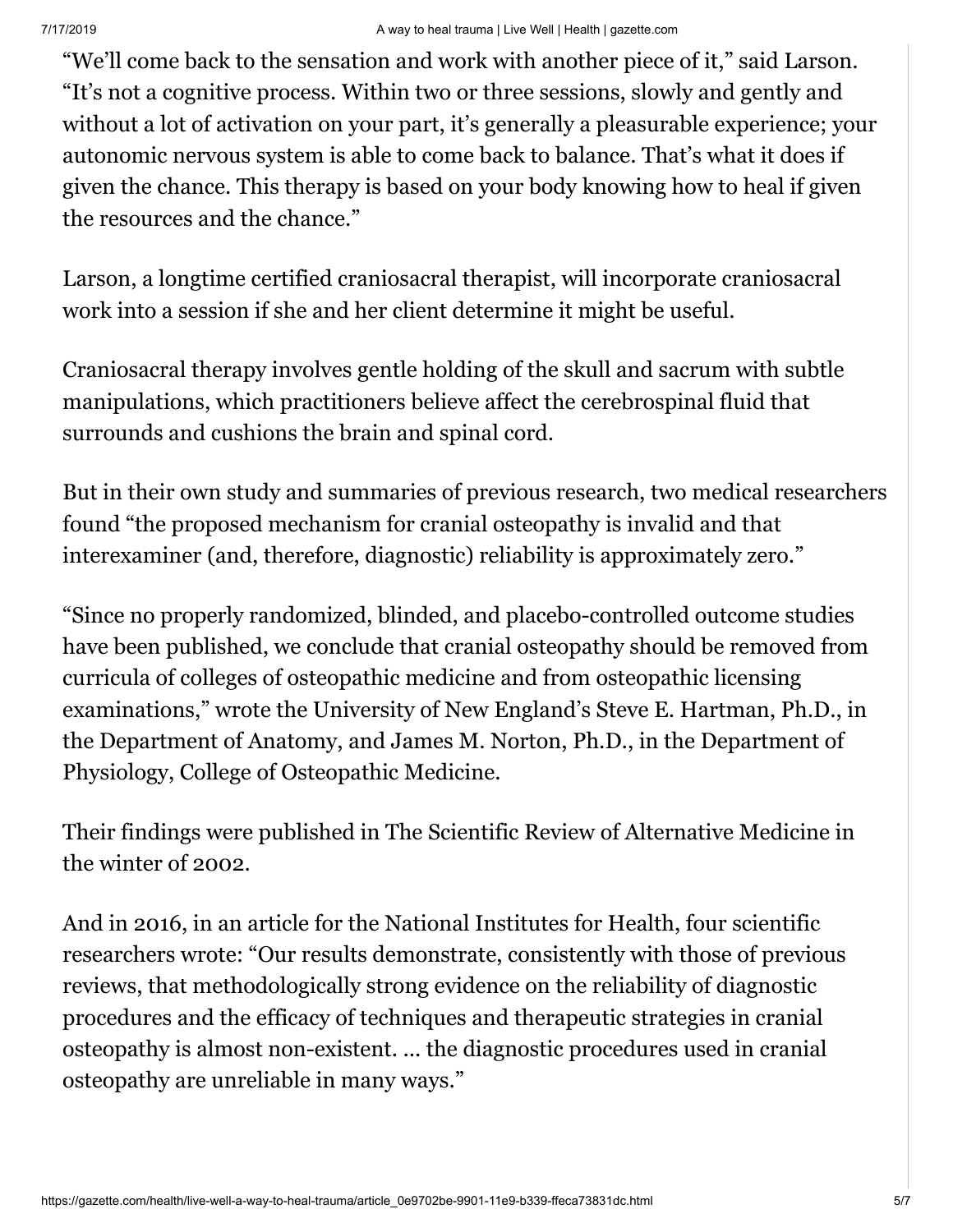"We'll come back to the sensation and work with another piece of it," said Larson. "It's not a cognitive process. Within two or three sessions, slowly and gently and without a lot of activation on your part, it's generally a pleasurable experience; your autonomic nervous system is able to come back to balance. That's what it does if given the chance. This therapy is based on your body knowing how to heal if given the resources and the chance."

Larson, a longtime certified craniosacral therapist, will incorporate craniosacral work into a session if she and her client determine it might be useful.

Craniosacral therapy involves gentle holding of the skull and sacrum with subtle manipulations, which practitioners believe affect the cerebrospinal fluid that surrounds and cushions the brain and spinal cord.

But in their own study and summaries of previous research, two medical researchers found "the proposed mechanism for cranial osteopathy is invalid and that interexaminer (and, therefore, diagnostic) reliability is approximately zero."

"Since no properly randomized, blinded, and placebo-controlled outcome studies have been published, we conclude that cranial osteopathy should be removed from curricula of colleges of osteopathic medicine and from osteopathic licensing examinations," wrote the University of New England's Steve E. Hartman, Ph.D., in the Department of Anatomy, and James M. Norton, Ph.D., in the Department of Physiology, College of Osteopathic Medicine.

Their findings were published in The Scientific Review of Alternative Medicine in the winter of 2002.

And in 2016, in an article for the National Institutes for Health, four scientific researchers wrote: "Our results demonstrate, consistently with those of previous reviews, that methodologically strong evidence on the reliability of diagnostic procedures and the efficacy of techniques and therapeutic strategies in cranial osteopathy is almost non-existent. ... the diagnostic procedures used in cranial osteopathy are unreliable in many ways."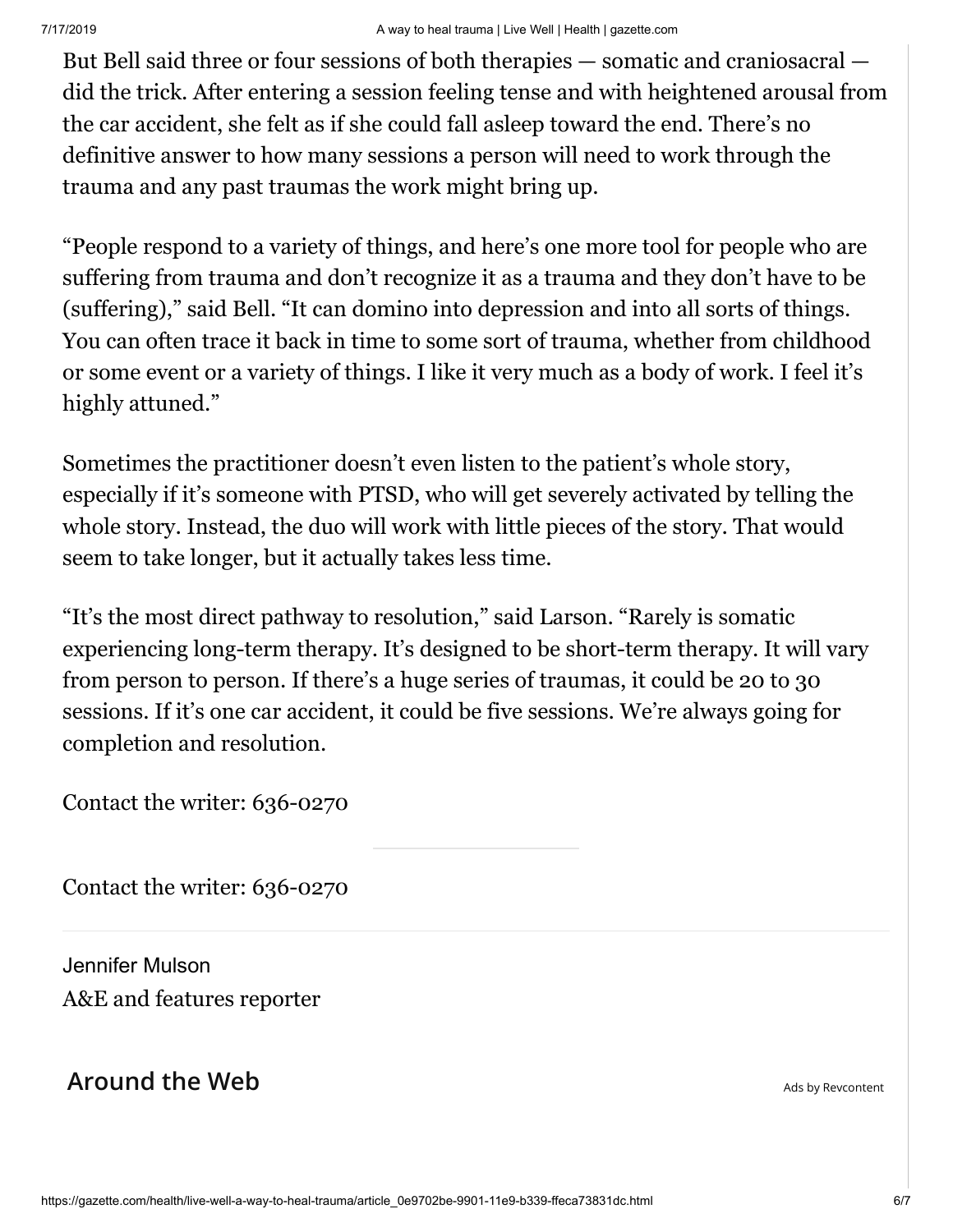But Bell said three or four sessions of both therapies — somatic and craniosacral did the trick. After entering a session feeling tense and with heightened arousal from the car accident, she felt as if she could fall asleep toward the end. There's no definitive answer to how many sessions a person will need to work through the trauma and any past traumas the work might bring up.

"People respond to a variety of things, and here's one more tool for people who are suffering from trauma and don't recognize it as a trauma and they don't have to be (suffering)," said Bell. "It can domino into depression and into all sorts of things. You can often trace it back in time to some sort of trauma, whether from childhood or some event or a variety of things. I like it very much as a body of work. I feel it's highly attuned."

Sometimes the practitioner doesn't even listen to the patient's whole story, especially if it's someone with PTSD, who will get severely activated by telling the whole story. Instead, the duo will work with little pieces of the story. That would seem to take longer, but it actually takes less time.

"It's the most direct pathway to resolution," said Larson. "Rarely is somatic experiencing long-term therapy. It's designed to be short-term therapy. It will vary from person to person. If there's a huge series of traumas, it could be 20 to 30 sessions. If it's one car accident, it could be five sessions. We're always going for completion and resolution.

Contact the writer: 636-0270

Contact the writer: 636-0270

[Jennifer Mulson](https://gazette.com/users/profile/Jen%20Mulson) A&E and features reporter

## **Around the Web**  $\overline{A}$